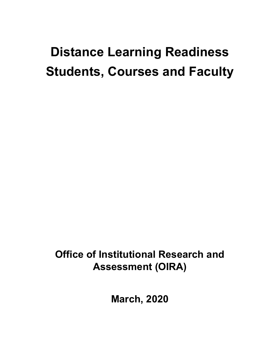# **Distance Learning Readiness Students, Courses and Faculty**

**Office of Institutional Research and Assessment (OIRA)**

**March, 2020**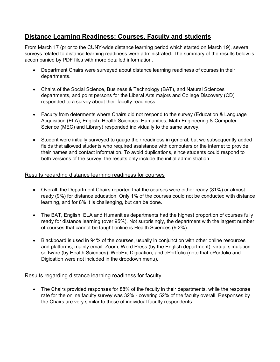## **Distance Learning Readiness: Courses, Faculty and students**

From March 17 (prior to the CUNY-wide distance learning period which started on March 19), several surveys related to distance learning readiness were administrated. The summary of the results below is accompanied by PDF files with more detailed information.

- Department Chairs were surveyed about distance learning readiness of courses in their departments.
- Chairs of the Social Science, Business & Technology (BAT), and Natural Sciences departments, and point persons for the Liberal Arts majors and College Discovery (CD) responded to a survey about their faculty readiness.
- Faculty from determents where Chairs did not respond to the survey (Education & Language Acquisition (ELA), English, Health Sciences, Humanities, Math Engineering & Computer Science (MEC) and Library) responded individually to the same survey.
- Student were initially surveyed to gauge their readiness in general, but we subsequently added fields that allowed students who required assistance with computers or the internet to provide their names and contact information. To avoid duplications, since students could respond to both versions of the survey, the results only include the initial administration.

#### Results regarding distance learning readiness for courses

- Overall, the Department Chairs reported that the courses were either ready (81%) or almost ready (9%) for distance education. Only 1% of the courses could not be conducted with distance learning, and for 8% it is challenging, but can be done.
- The BAT, English, ELA and Humanities departments had the highest proportion of courses fully ready for distance learning (over 95%). Not surprisingly, the department with the largest number of courses that cannot be taught online is Health Sciences (9.2%).
- Blackboard is used in 94% of the courses, usually in conjunction with other online resources and platforms, mainly email, Zoom, Word Press (by the English department), virtual simulation software (by Health Sciences), WebEx, Digication, and ePortfolio (note that ePortfolio and Digication were not included in the dropdown menu).

#### Results regarding distance learning readiness for faculty

• The Chairs provided responses for 88% of the faculty in their departments, while the response rate for the online faculty survey was 32% - covering 52% of the faculty overall. Responses by the Chairs are very similar to those of individual faculty respondents.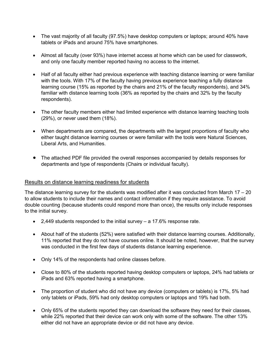- The vast majority of all faculty (97.5%) have desktop computers or laptops; around 40% have tablets or iPads and around 75% have smartphones.
- Almost all faculty (over 93%) have internet access at home which can be used for classwork, and only one faculty member reported having no access to the internet.
- Half of all faculty either had previous experience with teaching distance learning or were familiar with the tools. With 17% of the faculty having previous experience teaching a fully distance learning course (15% as reported by the chairs and 21% of the faculty respondents), and 34% familiar with distance learning tools (36% as reported by the chairs and 32% by the faculty respondents).
- The other faculty members either had limited experience with distance learning teaching tools (29%), or never used them (18%).
- When departments are compared, the departments with the largest proportions of faculty who either taught distance learning courses or were familiar with the tools were Natural Sciences, Liberal Arts, and Humanities.
- The attached PDF file provided the overall responses accompanied by details responses for departments and type of respondents (Chairs or individual faculty).

#### Results on distance learning readiness for students

The distance learning survey for the students was modified after it was conducted from March  $17 - 20$ to allow students to include their names and contact information if they require assistance. To avoid double counting (because students could respond more than once), the results only include responses to the initial survey.

- 2,449 students responded to the initial survey a 17.6% response rate.
- About half of the students (52%) were satisfied with their distance learning courses. Additionally, 11% reported that they do not have courses online. It should be noted, however, that the survey was conducted in the first few days of students distance learning experience.
- Only 14% of the respondents had online classes before.
- Close to 80% of the students reported having desktop computers or laptops, 24% had tablets or iPads and 63% reported having a smartphone.
- The proportion of student who did not have any device (computers or tablets) is 17%, 5% had only tablets or iPads, 59% had only desktop computers or laptops and 19% had both.
- Only 65% of the students reported they can download the software they need for their classes, while 22% reported that their device can work only with some of the software. The other 13% either did not have an appropriate device or did not have any device.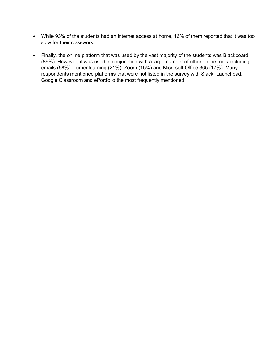- While 93% of the students had an internet access at home, 16% of them reported that it was too slow for their classwork.
- Finally, the online platform that was used by the vast majority of the students was Blackboard (89%). However, it was used in conjunction with a large number of other online tools including emails (58%), Lumenlearning (21%), Zoom (15%) and Microsoft Office 365 (17%). Many respondents mentioned platforms that were not listed in the survey with Slack, Launchpad, Google Classroom and ePortfolio the most frequently mentioned.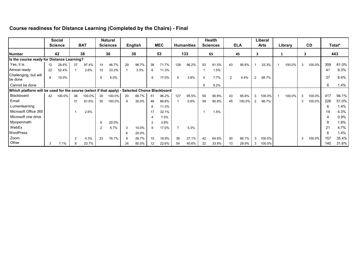### **Course readiness for Distance Learning (Completed by the Chairs) - Final**

|                                                                                                |    | <b>Social</b>  |               |            |                | Natural         |    |         |                |            |     |                   |    | Health          |               |            |                | Liberal     |         |   |           |                      |        |
|------------------------------------------------------------------------------------------------|----|----------------|---------------|------------|----------------|-----------------|----|---------|----------------|------------|-----|-------------------|----|-----------------|---------------|------------|----------------|-------------|---------|---|-----------|----------------------|--------|
|                                                                                                |    | <b>Science</b> |               | <b>BAT</b> |                | <b>Sciences</b> |    | English |                | <b>MEC</b> |     | <b>Humanities</b> |    | <b>Sciences</b> |               | <b>ELA</b> |                | <b>Arts</b> | Library |   | <b>CD</b> |                      | Total* |
| <b>Number</b>                                                                                  |    | 42             |               | 38         |                | 30              |    | 30      |                | 53         |     | 133               |    | 65              |               | 45         | 3              |             |         |   |           |                      | 443    |
| Is the course ready for Distance Learning?                                                     |    |                |               |            |                |                 |    |         |                |            |     |                   |    |                 |               |            |                |             |         |   |           |                      |        |
| Yes, it is.                                                                                    | 12 | 28.6%          | 37            | 97.4%      | 14             | 46.7%           | 29 | 96.7%   | 38             | 71.7%      | 128 | 96.2%             | 53 | 81.5%           | 43            | 95.6%      |                | 33.3%       | 100.0%  | 3 | 100.0%    | 359                  | 81.0%  |
| Almost ready                                                                                   | 22 | 52.4%          |               | 2.6%       | 10             | 33.3%           |    | 3.3%    | 6              | 11.3%      |     |                   |    | 1.5%            |               |            |                |             |         |   |           | $\mathbf{4}^{\cdot}$ | 9.3%   |
| Challenging, but will<br>be done                                                               | 8  | 19.0%          |               |            | 6              | 6.0%            |    |         | 9              | 17.0%      | 5   | 3.8%              | 5  | 7.7%            | $\mathcal{P}$ | 4.4%       | $\overline{2}$ | 66.7%       |         |   |           | 37                   | 8.4%   |
| Cannot be done                                                                                 |    |                |               |            |                |                 |    |         |                |            |     |                   | 6  | 9.2%            |               |            |                |             |         |   |           | 6                    | 1.4%   |
| Which platform will be used for the course (select if that apply) - Selected Choice Blackboard |    |                |               |            |                |                 |    |         |                |            |     |                   |    |                 |               |            |                |             |         |   |           |                      |        |
| Blackboard                                                                                     | 42 | 100.0%         | 38            | 100.0%     | 30             | 100.0%          | 20 | 66.7%   | 51             | 96.2%      | 127 | 95.5%             | 59 | 90.8%           | 43            | 95.6%      | 3              | 100.0%      | 100.0%  | 3 | 100.0%    | 417                  | 94.1%  |
| Email                                                                                          |    |                | 31            | 81.6%      | 30             | 100.0%          | 9  | 30.0%   | 46             | 86.8%      |     | 0.8%              | 59 | 90.8%           | 45            | 100.0%     | $\overline{2}$ | 66.7%       |         | 3 | 100.0%    | 226                  | 51.0%  |
| Lumenlearning                                                                                  |    |                |               |            |                |                 |    |         | 6              | 11.3%      |     |                   |    |                 |               |            |                |             |         |   |           |                      | 1.4%   |
| Microsoft Office 365                                                                           |    |                |               | 2.6%       |                |                 |    |         | 17             | 32.1%      |     |                   |    | 1.5%            |               |            |                |             |         |   |           | 19                   | 4.3%   |
| Microsoft one drive                                                                            |    |                |               |            |                |                 |    |         |                | 7.5%       |     |                   |    |                 |               |            |                |             |         |   |           |                      | 0.9%   |
| Myopenmath                                                                                     |    |                |               |            | -6             | 20.0%           |    |         | $\overline{2}$ | 3.8%       |     |                   |    |                 |               |            |                |             |         |   |           |                      | 1.8%   |
| WebEx                                                                                          |    |                |               |            | $\overline{2}$ | 6.7%            | 3  | 10.0%   | 9              | 17.0%      |     | 5.3%              |    |                 |               |            |                |             |         |   |           |                      | 4.7%   |
| <b>WordPress</b>                                                                               |    |                |               |            |                |                 |    | 20.0%   |                |            |     |                   |    |                 |               |            |                |             |         |   |           |                      | 1.4%   |
| Zoom                                                                                           |    |                | $\mathcal{P}$ | 4.3%       | 23             | 76.7%           | 8  | 26.7%   | 10             | 18.9%      | 36  | 27.1%             | 42 | 64.6%           | 30            | 66.7%      | 3              | 100.0%      |         | 3 | 100.0%    | 157                  | 35.4%  |
| Other                                                                                          | 3  | 7.1%           |               | 23.7%      |                |                 | 24 | 80.0%   | 12             | 22.6%      | 54  | 40.6%             | 22 | 33.8%           | 13            | 28.9%      | 3              | 100.0%      |         |   |           | 140                  | 31.6%  |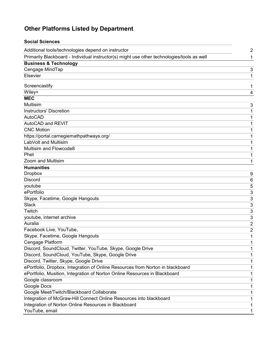## **Other Platforms Listed by Department**

| <b>Social Sciences</b>                                                                     |                |
|--------------------------------------------------------------------------------------------|----------------|
| Additional tools/technologies depend on instructor                                         | $\overline{2}$ |
| Primarily Blackboard - Individual instructor(s) might use other technologies/tools as well | 1              |
| <b>Business &amp; Technology</b>                                                           |                |
| Cengage MindTap                                                                            | 3              |
| Elsevier                                                                                   | 1              |
| Screencastify                                                                              | 1              |
| Wiley+                                                                                     | 4              |
| <b>MEC</b>                                                                                 |                |
| <b>Multisim</b>                                                                            | 3              |
| <b>Instructors' Discretion</b>                                                             | 1              |
| <b>AutoCAD</b>                                                                             | 1              |
| AutoCAD and REVIT                                                                          | 1              |
| <b>CNC Motion</b>                                                                          | 1              |
| https://portal.carnegiemathpathways.org/                                                   | 1              |
| LabVolt and Multisim                                                                       | 1              |
| Multisim and Flowcode8                                                                     | 1              |
| Phet                                                                                       | 1              |
| Zoom and Multisim                                                                          | 1              |
| <b>Humanities</b>                                                                          |                |
| <b>Dropbox</b>                                                                             | 9              |
| <b>Discord</b>                                                                             | 6              |
| youtube                                                                                    | 5              |
| ePortfolio                                                                                 | 3              |
| Skype, Facetime, Google Hangouts                                                           | 3              |
| <b>Slack</b>                                                                               | 3              |
| Twitch                                                                                     | 3              |
| youtube, internet archive                                                                  | 3              |
| Auralia                                                                                    | 2              |
| Facebook Live, YouTube,                                                                    | 2              |
| Skype, Facetime, Google Hangouts                                                           | 1              |
| Cengage Platform                                                                           | 1              |
| Discord, SoundCloud, Twitter, YouTube, Skype, Google Drive                                 | 1              |
| Discord, SoundCloud, YouTube, Skype, Google Drive                                          | 1              |
| Discord, Twitter, Skype, Google Drive                                                      | 1              |
| ePortfolio, Dropbox, Integration of Online Resources from Norton in blackboard             | 1              |
| ePortfolio, Musition, Integration of Norton Online Resources in Blackboard                 | 1              |
| Google classroom                                                                           | 1              |
| Google Docs                                                                                | 1              |
| Google Meet/Twitch/Blackboard Collaborate                                                  | 1              |
| Integration of McGraw-Hill Connect Online Resources into blackboard                        | 1              |
| Integration of Norton Online Resources in Blackboard                                       | 1              |
| YouTube, email                                                                             | 1              |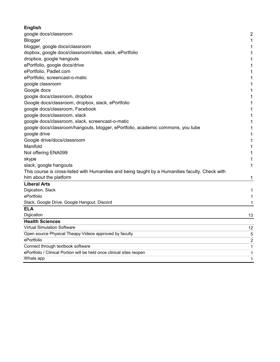| <b>English</b>                                                                                   |                |
|--------------------------------------------------------------------------------------------------|----------------|
| google docs/classroom                                                                            | $\overline{2}$ |
| Blogger                                                                                          | 1              |
| blogger, google docs/classroom                                                                   | 1              |
| dopbox, google docs/classroom/sites, slack, ePortfolio                                           | 1              |
| dropbox, google hangouts                                                                         | 1              |
| ePortfolio, google docs/drive                                                                    | 1              |
| ePortfolio, Padlet.com                                                                           | $\mathbf 1$    |
| ePortfolio, screencast-o-matic                                                                   | 1              |
| google classroom                                                                                 | 1              |
| Google docs                                                                                      | 1              |
| google docs/classroom, dropbox                                                                   | 1              |
| Google docs/classroom, dropbox, slack, ePortfolio                                                | 1              |
| google docs/classroom, Facebook                                                                  | $\mathbf 1$    |
| google docs/classroom, slack                                                                     | $\mathbf 1$    |
| google docs/classroom, slack, screencast-o-matic                                                 | 1              |
| google docs/classroom/hangouts, blogger, ePortfolio, academic commons, you tube                  | 1              |
| google drive                                                                                     | 1              |
| Google drive/docs/classroom                                                                      | 1              |
| Manifold                                                                                         | $\mathbf{1}$   |
| Not offering ENA099                                                                              | 1              |
| skype                                                                                            | 1              |
| slack, google hangouts                                                                           | 1              |
| This course is cross-listed with Humanities and being taught by a Humanities faculty. Check with |                |
| him about the platform                                                                           | 1              |
| <b>Liberal Arts</b>                                                                              |                |
| Digication, Slack                                                                                | 1              |
| ePortfolio                                                                                       | 1              |
| Slack, Google Drive, Google Hangout, Discord                                                     | 1              |
| ELA                                                                                              |                |
| Digication                                                                                       | 13             |
| <b>Health Sciences</b>                                                                           |                |
| <b>Virtual Simulation Software</b>                                                               | 12             |
| Open source Physical Theapy Videos approved by faculty                                           | 5              |
| ePortfolio                                                                                       | 2              |
| Connect through textbook software                                                                | 1              |
| ePortfolio / Clinical Portion will be held once clinical sites reopen                            | 1              |
| Whats app                                                                                        | $\mathbf{1}$   |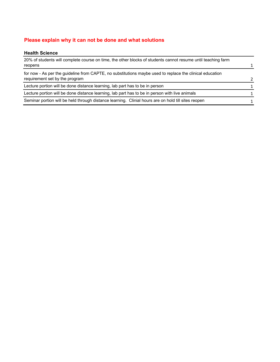#### **Please explain why it can not be done and what solutions**

#### **Health Science**

| 20% of students will complete course on time, the other blocks of students cannot resume until teaching farm |               |
|--------------------------------------------------------------------------------------------------------------|---------------|
| reopens                                                                                                      |               |
| for now - As per the quideline from CAPTE, no substitutions maybe used to replace the clinical education     |               |
| requirement set by the program                                                                               | $\mathcal{P}$ |
| Lecture portion will be done distance learning, lab part has to be in person                                 | 1             |
| Lecture portion will be done distance learning, lab part has to be in person with live animals               | 1.            |
| Seminar portion will be held through distance learning. Clinial hours are on hold till sites reopen          |               |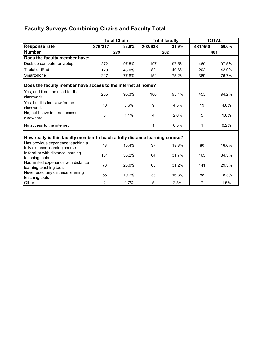## **Faculty Surveys Combining Chairs and Faculty Total**

|                                                                             |         | <b>Total Chairs</b><br><b>Total faculty</b> |         |       |                |       |  |
|-----------------------------------------------------------------------------|---------|---------------------------------------------|---------|-------|----------------|-------|--|
| <b>Response rate</b>                                                        | 279/317 | 88.0%                                       | 202/633 | 31.9% | 481/950        | 50.6% |  |
| <b>Number</b>                                                               |         | 279                                         |         | 202   | 481            |       |  |
| Does the faculty member have:                                               |         |                                             |         |       |                |       |  |
| Desktop computer or laptop                                                  | 272     | 97.5%                                       | 197     | 97.5% | 469            | 97.5% |  |
| Tablet or iPad                                                              | 120     | 43.0%                                       | 82      | 40.6% | 202            | 42.0% |  |
| Smartphone                                                                  | 217     | 77.8%                                       | 152     | 75.2% | 369            | 76.7% |  |
| Does the faculty member have access to the internet at home?                |         |                                             |         |       |                |       |  |
| Yes, and it can be used for the<br>classwork                                | 265     | 95.3%                                       | 188     | 93.1% | 453            | 94.2% |  |
| Yes, but it is too slow for the<br>classwork                                | 10      | 3.6%                                        | 9       | 4.5%  | 19             | 4.0%  |  |
| No, but I have internet access<br>elsewhere                                 | 3       | 1.1%                                        | 4       | 2.0%  | 5              | 1.0%  |  |
| No access to the internet                                                   |         |                                             | 1       | 0.5%  | 1              | 0.2%  |  |
| How ready is this faculty member to teach a fully distance learning course? |         |                                             |         |       |                |       |  |
| Has previous experience teaching a<br>fully distance learning course        | 43      | 15.4%                                       | 37      | 18.3% | 80             | 16.6% |  |
| Is familiar with distance learning<br>teaching tools                        | 101     | 36.2%                                       | 64      | 31.7% | 165            | 34.3% |  |
| Has limited experience with distance<br>learning teaching tools             | 78      | 28.0%                                       | 63      | 31.2% | 141            | 29.3% |  |
| Never used any distance learning<br>teaching tools                          | 55      | 19.7%                                       | 33      | 16.3% | 88             | 18.3% |  |
| Other:                                                                      | 2       | 0.7%                                        | 5       | 2.5%  | $\overline{7}$ | 1.5%  |  |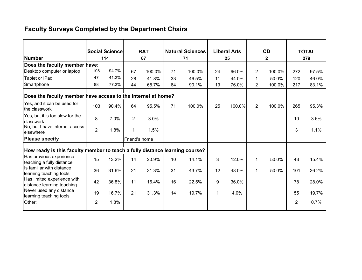# **Faculty Surveys Completed by the Department Chairs**

| <b>Social Science</b>                                                       |                | <b>BAT</b> |                |        | <b>Natural Sciences</b> |        | <b>Liberal Arts</b> |        | <b>CD</b>      | <b>TOTAL</b><br>279 |                |                         |
|-----------------------------------------------------------------------------|----------------|------------|----------------|--------|-------------------------|--------|---------------------|--------|----------------|---------------------|----------------|-------------------------|
| <b>Number</b>                                                               | 114            |            | 67             |        | 71                      |        |                     | 25     |                |                     |                | $\overline{\mathbf{2}}$ |
| Does the faculty member have:                                               |                |            |                |        |                         |        |                     |        |                |                     |                |                         |
| Desktop computer or laptop                                                  | 108            | 94.7%      | 67             | 100.0% | 71                      | 100.0% | 24                  | 96.0%  | $\overline{2}$ | 100.0%              | 272            | 97.5%                   |
| Tablet or iPad                                                              | 47             | 41.2%      | 28             | 41.8%  | 33                      | 46.5%  | 11                  | 44.0%  | 1              | 50.0%               | 120            | 46.0%                   |
| Smartphone                                                                  | 88             | 77.2%      | 44             | 65.7%  | 64                      | 90.1%  | 19                  | 76.0%  | $\overline{2}$ | 100.0%              | 217            | 83.1%                   |
| Does the faculty member have access to the internet at home?                |                |            |                |        |                         |        |                     |        |                |                     |                |                         |
| Yes, and it can be used for<br>the classwork                                | 103            | 90.4%      | 64             | 95.5%  | 71                      | 100.0% | 25                  | 100.0% | $\overline{2}$ | 100.0%              | 265            | 95.3%                   |
| Yes, but it is too slow for the<br>classwork                                | 8              | 7.0%       | $\overline{2}$ | 3.0%   |                         |        |                     |        |                |                     | 10             | 3.6%                    |
| No, but I have internet access<br>elsewhere                                 | $\overline{2}$ | 1.8%       | $\mathbf{1}$   | 1.5%   |                         |        |                     |        |                |                     | 3              | 1.1%                    |
| <b>Please specify</b>                                                       |                |            | Friend's home  |        |                         |        |                     |        |                |                     |                |                         |
| How ready is this faculty member to teach a fully distance learning course? |                |            |                |        |                         |        |                     |        |                |                     |                |                         |
| Has previous experience<br>teaching a fully distance                        | 15             | 13.2%      | 14             | 20.9%  | 10                      | 14.1%  | 3                   | 12.0%  | $\mathbf{1}$   | 50.0%               | 43             | 15.4%                   |
| Is familiar with distance<br>learning teaching tools                        | 36             | 31.6%      | 21             | 31.3%  | 31                      | 43.7%  | 12                  | 48.0%  | $\mathbf{1}$   | 50.0%               | 101            | 36.2%                   |
| Has limited experience with<br>distance learning teaching                   | 42             | 36.8%      | 11             | 16.4%  | 16                      | 22.5%  | 9                   | 36.0%  |                |                     | 78             | 28.0%                   |
| Never used any distance<br>learning teaching tools                          | 19             | 16.7%      | 21             | 31.3%  | 14                      | 19.7%  | 1                   | 4.0%   |                |                     | 55             | 19.7%                   |
| Other:                                                                      | 2              | 1.8%       |                |        |                         |        |                     |        |                |                     | $\overline{2}$ | 0.7%                    |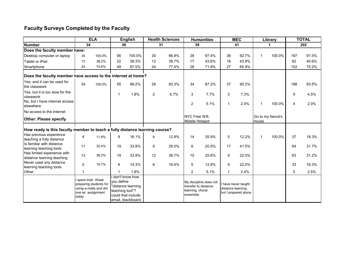## **Faculty Surveys Completed by the Faculty**

|                                                                             | <b>ELA</b>                                                                                            |        |                               | <b>English</b>                                                                   | <b>Health Sciences</b> |       | <b>Humanities</b>                             |                                                | <b>MEC</b>         |                                              | Library      |                   | <b>TOTAL</b> |       |
|-----------------------------------------------------------------------------|-------------------------------------------------------------------------------------------------------|--------|-------------------------------|----------------------------------------------------------------------------------|------------------------|-------|-----------------------------------------------|------------------------------------------------|--------------------|----------------------------------------------|--------------|-------------------|--------------|-------|
| <b>Number</b><br>34                                                         |                                                                                                       | 56     | 31                            |                                                                                  | 39                     |       | 41                                            |                                                | 1                  |                                              | 202          |                   |              |       |
| Does the faculty member have:                                               |                                                                                                       |        |                               |                                                                                  |                        |       |                                               |                                                |                    |                                              |              |                   |              |       |
| Desktop computer or laptop                                                  | 34                                                                                                    | 100.0% | 56                            | 100.0%                                                                           | 30                     | 96.8% | 38                                            | 97.4%                                          | 38                 | 92.7%                                        | -1           | 100.0%            | 197          | 97.5% |
| Tablet or iPad                                                              | 13                                                                                                    | 38.2%  | 22                            | 39.3%                                                                            | 12                     | 38.7% | 17                                            | 43.6%                                          | 18                 | 43.9%                                        |              |                   | 82           | 40.6% |
| Smartphone                                                                  | 24                                                                                                    | 70.6%  | 49                            | 87.5%                                                                            | 24                     | 77.4% | 28                                            | 71.8%                                          | 27                 | 65.9%                                        |              |                   | 152          | 75.2% |
| Does the faculty member have access to the internet at home?                |                                                                                                       |        |                               |                                                                                  |                        |       |                                               |                                                |                    |                                              |              |                   |              |       |
| Yes, and it can be used for<br>the classwork                                | 34                                                                                                    | 100.0% | 55                            | 98.2%                                                                            | 28                     | 93.3% | 34                                            | 87.2%                                          | 37                 | 90.2%                                        |              |                   | 188          | 93.5% |
| Yes, but it is too slow for the<br>classwork                                |                                                                                                       |        | 1                             | 1.8%                                                                             | $\overline{2}$         | 6.7%  | 3                                             | 7.7%                                           | 3                  | 7.3%                                         |              |                   | 9            | 4.5%  |
| No. but I have internet access<br>elsewhere                                 |                                                                                                       |        |                               |                                                                                  |                        |       | $\overline{2}$                                | 5.1%                                           | $\mathbf{1}$       | 2.4%                                         | $\mathbf 1$  | 100.0%            | 4            | 2.0%  |
| No access to the internet                                                   |                                                                                                       |        |                               |                                                                                  |                        |       |                                               |                                                |                    |                                              |              |                   |              |       |
| <b>Other: Please specify</b>                                                |                                                                                                       |        |                               |                                                                                  |                        |       | <b>NYC Free Wifi</b><br><b>Mobile Hotspot</b> |                                                |                    |                                              | house        | Go to my fiancé's |              |       |
| How ready is this faculty member to teach a fully distance learning course? |                                                                                                       |        |                               |                                                                                  |                        |       |                                               |                                                |                    |                                              |              |                   |              |       |
| Has previous experience<br>teaching a fully distance                        | 4                                                                                                     | 11.8%  | 9                             | 16.1%                                                                            | 4                      | 12.9% | 14                                            | 35.9%                                          | 5                  | 12.2%                                        | $\mathbf{1}$ | 100.0%            | 37           | 18.3% |
| Is familiar with distance<br>learning teaching tools                        | 11                                                                                                    | 32.4%  | 19                            | 33.9%                                                                            | 9                      | 29.0% | 8                                             | 20.5%                                          | 17                 | 41.5%                                        |              |                   | 64           | 31.7% |
| Has limited experience with<br>distance learning teaching                   | 13                                                                                                    | 38.2%  | 19                            | 33.9%                                                                            | 12                     | 38.7% | 10                                            | 25.6%                                          | 9                  | 22.0%                                        |              |                   | 63           | 31.2% |
| Never used any distance<br>learning teaching tools                          | 5                                                                                                     | 14.7%  | 8                             | 14.3%                                                                            | 6                      | 19.4% | 5                                             | 12.8%                                          | 9                  | 22.0%                                        |              |                   | 33           | 16.3% |
| Other:                                                                      |                                                                                                       |        |                               | 1.8%                                                                             |                        |       | $\overline{c}$                                | 5.1%                                           | -1                 | 2.4%                                         |              |                   | 5            | 2.5%  |
|                                                                             | I spent Instr. Week<br>preparing students for<br>using e-mails and did<br>one wr. assignment<br>today |        | vou define<br>teaching tool"? | don't know how<br>"distance learning<br>could that include<br>email, blackboard. |                        |       | learning, choral<br>ensemble                  | My discipline does not<br>transfer to distance | distance learning, | I have never taught<br>but I prepared alone. |              |                   |              |       |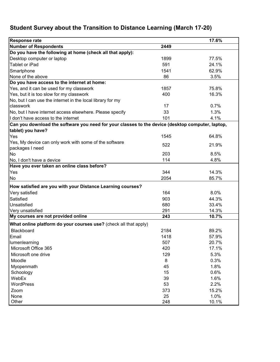# **Student Survey about the Transition to Distance Learning (March 17-20)**

| <b>Response rate</b>                                                                             |      | 17.6% |
|--------------------------------------------------------------------------------------------------|------|-------|
| <b>Number of Respondents</b>                                                                     | 2449 |       |
| Do you have the following at home (check all that apply):                                        |      |       |
| Desktop computer or laptop                                                                       | 1899 | 77.5% |
| Tablet or iPad                                                                                   | 591  | 24.1% |
| Smartphone                                                                                       | 1541 | 62.9% |
| None of the above                                                                                | 86   | 3.5%  |
| Do you have access to the internet at home:                                                      |      |       |
| Yes, and it can be used for my classwork                                                         | 1857 | 75.8% |
| Yes, but it is too slow for my classwork                                                         | 400  | 16.3% |
| No, but I can use the internet in the local library for my                                       |      |       |
| classwork                                                                                        | 17   | 0.7%  |
| No, but I have internet access elsewhere. Please specify                                         | 33   | 1.3%  |
| I don't have access to the internet                                                              | 101  | 4.1%  |
| Can you download the software you need for your classes to the device (desktop computer, laptop, |      |       |
| tablet) you have?                                                                                |      |       |
| Yes                                                                                              | 1545 | 64.8% |
| Yes, My device can only work with some of the software                                           | 522  | 21.9% |
| packages I need                                                                                  |      |       |
| No                                                                                               | 203  | 8.5%  |
| No, I don't have a device                                                                        | 114  | 4.8%  |
| Have you ever taken an online class before?                                                      |      |       |
| Yes                                                                                              | 344  | 14.3% |
| No                                                                                               | 2054 | 85.7% |
| How satisfied are you with your Distance Learning courses?                                       |      |       |
| Very satisfied                                                                                   | 164  | 8.0%  |
| Satisfied                                                                                        | 903  | 44.3% |
| Unsatisfied                                                                                      | 680  | 33.4% |
| Very unsatisfied                                                                                 | 291  | 14.3% |
| My courses are not provided online                                                               | 243  | 10.7% |
| What online platform do your courses use? (check all that apply)                                 |      |       |
| Blackboard                                                                                       | 2184 | 89.2% |
| Email                                                                                            | 1418 | 57.9% |
| lumenlearning                                                                                    | 507  | 20.7% |
| Microsoft Office 365                                                                             | 420  | 17.1% |
| Microsoft one drive                                                                              | 129  | 5.3%  |
| Moodle                                                                                           | 8    | 0.3%  |
| Myopenmath                                                                                       | 45   | 1.8%  |
| Schoology                                                                                        | 15   | 0.6%  |
| WebEx                                                                                            | 39   | 1.6%  |
| <b>WordPress</b>                                                                                 | 53   | 2.2%  |
| Zoom                                                                                             | 373  | 15.2% |
| None                                                                                             | 25   | 1.0%  |
| Other                                                                                            | 248  | 10.1% |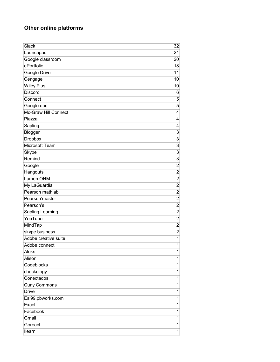#### **Other online platforms**

| Slack                | 32                      |
|----------------------|-------------------------|
| Launchpad            | 24                      |
| Google classroom     | 20                      |
| ePortfolio           | 18                      |
| Google Drive         | 11                      |
| Cengage              | 10                      |
| <b>Wiley Plus</b>    | 10                      |
| <b>Discord</b>       | 6                       |
| Connect              | 5                       |
| Google.doc           | 5                       |
| Mc-Graw Hill Connect | 4                       |
| Piazza               | 4                       |
| Sapling              | 4                       |
| Blogger              | 3                       |
| Dropbox              | 3                       |
| Microsoft Team       | $\overline{3}$          |
| Skype                | $\overline{3}$          |
| Remind               | $\overline{3}$          |
| Google               | $\overline{2}$          |
| Hangouts             | $\overline{2}$          |
| Lumen OHM            | $\overline{c}$          |
| My LaGuardia         | $\overline{\mathbf{c}}$ |
| Pearson mathlab      | $\overline{2}$          |
| Pearson'master       | $\overline{c}$          |
| Pearson's            | $\overline{2}$          |
| Sapling Learning     | $\overline{2}$          |
| YouTube              | $\overline{c}$          |
| MindTap              | $\overline{c}$          |
| skype business       | $\overline{2}$          |
| Adobe creative suite | $\mathbf 1$             |
| Adobe connect        | 1                       |
| Aleks                | 1                       |
| Alison               | 1                       |
| Codeblocks           | 1                       |
| checkology           | 1                       |
| Conectados           | 1                       |
| <b>Cuny Commons</b>  | 1                       |
| <b>Drive</b>         | 1                       |
| Esl99.pbworks.com    | 1                       |
| Excel                | 1                       |
| Facebook             | 1                       |
| Gmail                | 1                       |
| Goreact              | 1                       |
| <b>Ilearn</b>        | 1                       |